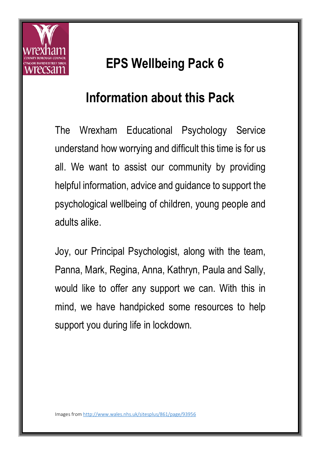

## **EPS Wellbeing Pack 6**

#### **Information about this Pack**

The Wrexham Educational Psychology Service understand how worrying and difficult this time is for us all. We want to assist our community by providing helpful information, advice and guidance to support the psychological wellbeing of children, young people and adults alike.

Joy, our Principal Psychologist, along with the team, Panna, Mark, Regina, Anna, Kathryn, Paula and Sally, would like to offer any support we can. With this in mind, we have handpicked some resources to help support you during life in lockdown.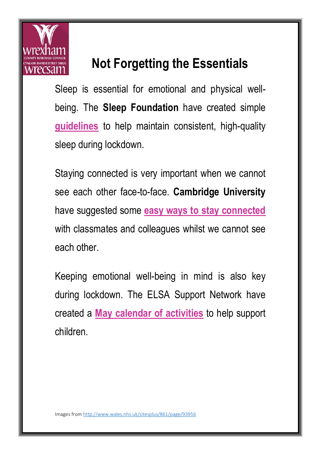

## **Not Forgetting the Essentials**

Sleep is essential for emotional and physical wellbeing. The **Sleep Foundation** have created simple **[guidelines](https://www.sleepfoundation.org/sleep-guidelines-covid-19-isolation)** to help maintain consistent, high-quality sleep during lockdown.

Staying connected is very important when we cannot see each other face-to-face. **Cambridge University** have suggested some **[easy ways to stay connected](https://www.cambridge.org/elt/blog/2020/04/17/supporting-every-teacher-4-activities-to-encourage-social-connectedness-in-teenage-learners/)** with classmates and colleagues whilst we cannot see each other.

Keeping emotional well-being in mind is also key during lockdown. The ELSA Support Network have created a **[May calendar of activities](https://www.elsa-support.co.uk/wp-content/uploads/2020/04/May-Calendar.pdf)** to help support children.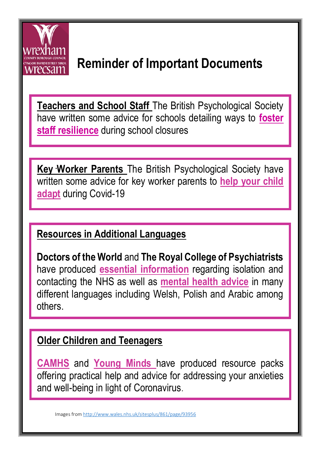

## **Reminder of Important Documents**

**Teachers and School Staff** The British Psychological Society have written some advice for schools detailing ways to **[foster](https://www.bps.org.uk/sites/www.bps.org.uk/files/Member%20Networks/Divisions/DECP/Teacher%20resilience%20during%20coronavirus%20school%20closures.pdf)  [staff resilience](https://www.bps.org.uk/sites/www.bps.org.uk/files/Member%20Networks/Divisions/DECP/Teacher%20resilience%20during%20coronavirus%20school%20closures.pdf)** during school closures

**Key Worker Parents** The British Psychological Society have . written some advice for key worker parents to **[help your child](https://www.bps.org.uk/sites/www.bps.org.uk/files/Policy/Policy%20-%20Files/Advice%20for%20keyworker%20parents%20-%20helping%20your%20child%20adapt.pdf)  [adapt](https://www.bps.org.uk/sites/www.bps.org.uk/files/Policy/Policy%20-%20Files/Advice%20for%20keyworker%20parents%20-%20helping%20your%20child%20adapt.pdf)** during Covid-19

#### **Resources in Additional Languages**

**Doctors of the World** and **The Royal College of Psychiatrists** have produced **[essential information](https://www.doctorsoftheworld.org.uk/coronavirus-information/)** regarding isolation and contacting the NHS as well as **[mental health advice](https://www.rcpsych.ac.uk/mental-health/translations)** in many different languages including Welsh, Polish and Arabic among others.

#### **Older Children and Teenagers**

**[CAMHS](http://youngwrexham.co.uk/blog/young-peoples-wellbeing-resource-pack/)** and **[Young Minds](https://youngminds.org.uk/find-help/looking-after-yourself/coronavirus-and-mental-health/?fbclid=IwAR0jtY6ezpvXE26ckFRf0ecHLqFMkmOmTPYDowI2WcmZQLODjuyybe_MBg0#what-else-can-i-do-to-look-after-my-mental-health?-)** have produced resource packs offering practical help and advice for addressing your anxieties and well-being in light of Coronavirus.